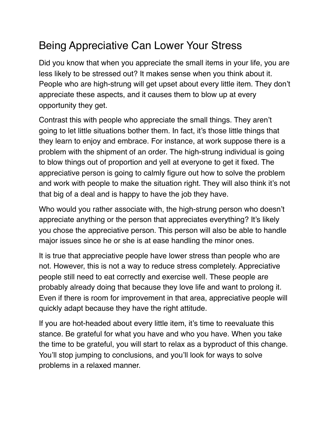## Being Appreciative Can Lower Your Stress

Did you know that when you appreciate the small items in your life, you are less likely to be stressed out? It makes sense when you think about it. People who are high-strung will get upset about every little item. They don't appreciate these aspects, and it causes them to blow up at every opportunity they get.

Contrast this with people who appreciate the small things. They aren't going to let little situations bother them. In fact, it's those little things that they learn to enjoy and embrace. For instance, at work suppose there is a problem with the shipment of an order. The high-strung individual is going to blow things out of proportion and yell at everyone to get it fixed. The appreciative person is going to calmly figure out how to solve the problem and work with people to make the situation right. They will also think it's not that big of a deal and is happy to have the job they have.

Who would you rather associate with, the high-strung person who doesn't appreciate anything or the person that appreciates everything? It's likely you chose the appreciative person. This person will also be able to handle major issues since he or she is at ease handling the minor ones.

It is true that appreciative people have lower stress than people who are not. However, this is not a way to reduce stress completely. Appreciative people still need to eat correctly and exercise well. These people are probably already doing that because they love life and want to prolong it. Even if there is room for improvement in that area, appreciative people will quickly adapt because they have the right attitude.

If you are hot-headed about every little item, it's time to reevaluate this stance. Be grateful for what you have and who you have. When you take the time to be grateful, you will start to relax as a byproduct of this change. You'll stop jumping to conclusions, and you'll look for ways to solve problems in a relaxed manner.